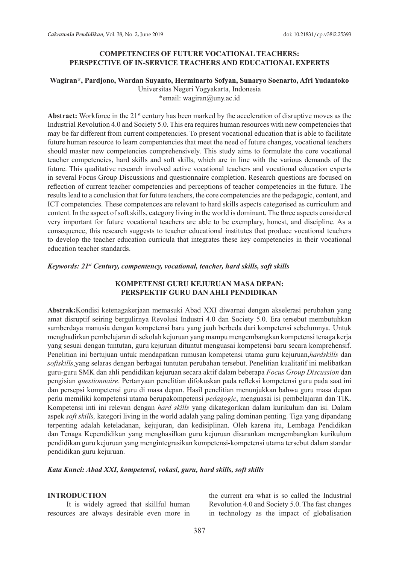# **COMPETENCIES OF FUTURE VOCATIONAL TEACHERS: PERSPECTIVE OF IN-SERVICE TEACHERS AND EDUCATIONAL EXPERTS**

### **Wagiran\*, Pardjono, Wardan Suyanto, Herminarto Sofyan, Sunaryo Soenarto, Afri Yudantoko** Universitas Negeri Yogyakarta, Indonesia \*email: wagiran@uny.ac.id

Abstract: Workforce in the 21<sup>st</sup> century has been marked by the acceleration of disruptive moves as the Industrial Revolution 4.0 and Society 5.0. This era requires human resources with new competencies that may be far different from current competencies. To present vocational education that is able to facilitate future human resource to learn compentencies that meet the need of future changes, vocational teachers should master new competencies comprehensively. This study aims to formulate the core vocational teacher competencies, hard skills and soft skills, which are in line with the various demands of the future. This qualitative research involved active vocational teachers and vocational education experts in several Focus Group Discussions and questionnaire completion. Research questions are focused on reflection of current teacher competencies and perceptions of teacher competencies in the future. The results lead to a conclusion that for future teachers, the core competencies are the pedagogic, content, and ICT competencies. These competences are relevant to hard skills aspects categorised as curriculum and content. In the aspect of soft skills, category living in the world is dominant. The three aspects considered very important for future vocational teachers are able to be exemplary, honest, and discipline. As a consequence, this research suggests to teacher educational institutes that produce vocational teachers to develop the teacher education curricula that integrates these key competencies in their vocational education teacher standards.

#### *Keywords: 21st Century, compentency, vocational, teacher, hard skills, soft skills*

# **KOMPETENSI GURU KEJURUAN MASA DEPAN: PERSPEKTIF GURU DAN AHLI PENDIDIKAN**

**Abstrak:**Kondisi ketenagakerjaan memasuki Abad XXI diwarnai dengan akselerasi perubahan yang amat disruptif seiring bergulirnya Revolusi Industri 4.0 dan Society 5.0. Era tersebut membutuhkan sumberdaya manusia dengan kompetensi baru yang jauh berbeda dari kompetensi sebelumnya. Untuk menghadirkan pembelajaran di sekolah kejuruan yang mampu mengembangkan kompetensi tenaga kerja yang sesuai dengan tuntutan, guru kejuruan dituntut menguasai kompetensi baru secara komprehensif. Penelitian ini bertujuan untuk mendapatkan rumusan kompetensi utama guru kejuruan,*hardskills* dan *softskills*,yang selaras dengan berbagai tuntutan perubahan tersebut. Penelitian kualitatif ini melibatkan guru-guru SMK dan ahli pendidikan kejuruan secara aktif dalam beberapa *Focus Group Discussion* dan pengisian *questionnaire*. Pertanyaan penelitian difokuskan pada refleksi kompetensi guru pada saat ini dan persepsi kompetensi guru di masa depan. Hasil penelitian menunjukkan bahwa guru masa depan perlu memiliki kompetensi utama berupakompetensi *pedagogic*, menguasai isi pembelajaran dan TIK. Kompetensi inti ini relevan dengan *hard skills* yang dikategorikan dalam kurikulum dan isi. Dalam aspek *soft skills,* kategori living in the world adalah yang paling dominan penting. Tiga yang dipandang terpenting adalah keteladanan, kejujuran, dan kedisiplinan. Oleh karena itu, Lembaga Pendidikan dan Tenaga Kependidikan yang menghasilkan guru kejuruan disarankan mengembangkan kurikulum pendidikan guru kejuruan yang mengintegrasikan kompetensi-kompetensi utama tersebut dalam standar pendidikan guru kejuruan.

### *Kata Kunci: Abad XXI, kompetensi, vokasi, guru, hard skills, soft skills*

### **INTRODUCTION**

It is widely agreed that skillful human resources are always desirable even more in the current era what is so called the Industrial Revolution 4.0 and Society 5.0. The fast changes in technology as the impact of globalisation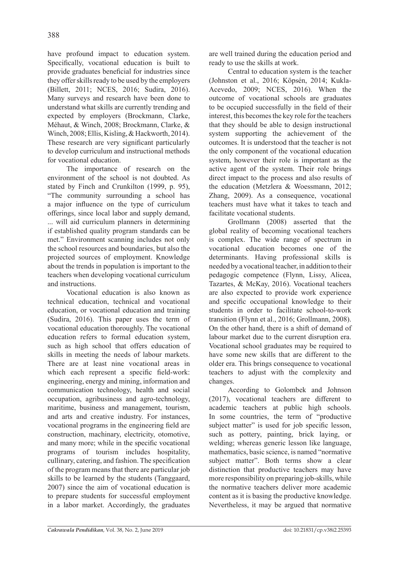have profound impact to education system. Specifically, vocational education is built to provide graduates beneficial for industries since they offer skills ready to be used by the employers (Billett, 2011; NCES, 2016; Sudira, 2016). Many surveys and research have been done to understand what skills are currently trending and expected by employers (Brockmann, Clarke, Méhaut, & Winch, 2008; Brockmann, Clarke, & Winch, 2008; Ellis, Kisling, & Hackworth, 2014). These research are very significant particularly to develop curriculum and instructional methods for vocational education.

The importance of research on the environment of the school is not doubted. As stated by Finch and Crunkilton (1999, p. 95), "The community surrounding a school has a major influence on the type of curriculum offerings, since local labor and supply demand, ... will aid curriculum planners in determining if established quality program standards can be met." Environment scanning includes not only the school resources and boundaries, but also the projected sources of employment. Knowledge about the trends in population is important to the teachers when developing vocational curriculum and instructions.

Vocational education is also known as technical education, technical and vocational education, or vocational education and training (Sudira, 2016). This paper uses the term of vocational education thoroughly. The vocational education refers to formal education system, such as high school that offers education of skills in meeting the needs of labour markets. There are at least nine vocational areas in which each represent a specific field-work: engineering, energy and mining, information and communication technology, health and social occupation, agribusiness and agro-technology, maritime, business and management, tourism, and arts and creative industry. For instances, vocational programs in the engineering field are construction, machinary, electricity, otomotive, and many more; while in the specific vocational programs of tourism includes hospitality, cullinary, catering, and fashion. The specification of the program means that there are particular job skills to be learned by the students (Tanggaard, 2007) since the aim of vocational education is to prepare students for successful employment in a labor market. Accordingly, the graduates are well trained during the education period and ready to use the skills at work.

Central to education system is the teacher (Johnston et al., 2016; Köpsén, 2014; Kukla-Acevedo, 2009; NCES, 2016). When the outcome of vocational schools are graduates to be occupied successfully in the field of their interest, this becomes the key role for the teachers that they should be able to design instructional system supporting the achievement of the outcomes. It is understood that the teacher is not the only component of the vocational education system, however their role is important as the active agent of the system. Their role brings direct impact to the process and also results of the education (Metzlera & Woessmann, 2012; Zhang, 2009). As a consequence, vocational teachers must have what it takes to teach and facilitate vocational students.

Grollmann (2008) asserted that the global reality of becoming vocational teachers is complex. The wide range of spectrum in vocational education becomes one of the determinants. Having professional skills is needed by a vocational teacher, in addition to their pedagogic competence (Flynn, Lissy, Alicea, Tazartes, & McKay, 2016). Vocational teachers are also expected to provide work experience and specific occupational knowledge to their students in order to facilitate school-to-work transition (Flynn et al., 2016; Grollmann, 2008). On the other hand, there is a shift of demand of labour market due to the current disruption era. Vocational school graduates may be required to have some new skills that are different to the older era. This brings consequence to vocational teachers to adjust with the complexity and changes.

According to Golombek and Johnson (2017), vocational teachers are different to academic teachers at public high schools. In some countries, the term of "productive subject matter" is used for job specific lesson, such as pottery, painting, brick laying, or welding; whereas generic lesson like language, mathematics, basic science, is named "normative subject matter". Both terms show a clear distinction that productive teachers may have more responsibility on preparing job-skills, while the normative teachers deliver more academic content as it is basing the productive knowledge. Nevertheless, it may be argued that normative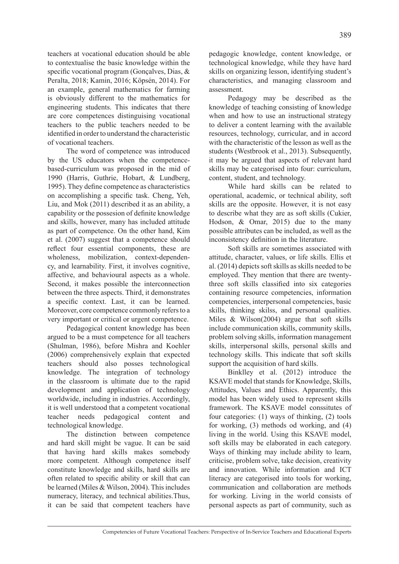teachers at vocational education should be able to contextualise the basic knowledge within the specific vocational program (Gonçalves, Dias, & Peralta, 2018; Kamin, 2016; Köpsén, 2014). For an example, general mathematics for farming is obviously different to the mathematics for engineering students. This indicates that there are core competences distinguising vocational teachers to the public teachers needed to be identified in order to understand the characteristic of vocational teachers.

The word of competence was introduced by the US educators when the competencebased-curriculum was proposed in the mid of 1990 (Harris, Guthrie, Hobart, & Lundberg, 1995). They define competence as characteristics on accomplishing a specific task. Cheng, Yeh, Liu, and Mok (2011) described it as an ability, a capability or the possesion of definite knowledge and skills, however, many has included attitude as part of competence. On the other hand, Kim et al. (2007) suggest that a competence should reflect four essential components, these are wholeness, mobilization, context-dependency, and learnability. First, it involves cognitive, affective, and behavioural aspects as a whole. Second, it makes possible the interconnection between the three aspects. Third, it demonstrates a specific context. Last, it can be learned. Moreover, core competence commonly refers to a very important or critical or urgent competence.

Pedagogical content knowledge has been argued to be a must competence for all teachers (Shulman, 1986), before Mishra and Koehler (2006) comprehensively explain that expected teachers should also posses technological knowledge. The integration of technology in the classroom is ultimate due to the rapid development and application of technology worldwide, including in industries. Accordingly, it is well understood that a competent vocational teacher needs pedagogical content and technological knowledge.

The distinction between competence and hard skill might be vague. It can be said that having hard skills makes somebody more competent. Although competence itself constitute knowledge and skills, hard skills are often related to specific ability or skill that can be learned (Miles & Wilson, 2004). This includes numeracy, literacy, and technical abilities.Thus, it can be said that competent teachers have

pedagogic knowledge, content knowledge, or technological knowledge, while they have hard skills on organizing lesson, identifying student's characteristics, and managing classroom and assessment.

Pedagogy may be described as the knowledge of teaching consisting of knowledge when and how to use an instructional strategy to deliver a content learning with the available resources, technology, curricular, and in accord with the characteristic of the lesson as well as the students (Westbrook et al., 2013). Subsequently, it may be argued that aspects of relevant hard skills may be categorised into four: curriculum, content, student, and technology.

While hard skills can be related to operational, academic, or technical ability, soft skills are the opposite. However, it is not easy to describe what they are as soft skills (Cukier, Hodson, & Omar, 2015) due to the many possible attributes can be included, as well as the inconsistency definition in the literature.

Soft skills are sometimes associated with attitude, character, values, or life skills. Ellis et al. (2014) depicts soft skills as skills needed to be employed. They mention that there are twentythree soft skills classified into six categories containing resource competencies, information competencies, interpersonal competencies, basic skills, thinking skilss, and personal qualities. Miles & Wilson(2004) argue that soft skills include communication skills, community skills, problem solving skills, information management skills, interpersonal skills, personal skills and technology skills. This indicate that soft skills support the acquisition of hard skills.

Binklley et al. (2012) introduce the KSAVE model that stands for Knowledge, Skills, Attitudes, Values and Ethics. Apparently, this model has been widely used to represent skills framework. The KSAVE model conssitutes of four categories: (1) ways of thinking, (2) tools for working, (3) methods od working, and (4) living in the world. Using this KSAVE model, soft skills may be elaborated in each category. Ways of thinking may include ability to learn, criticise, problem solve, take decision, creativity and innovation. While information and ICT literacy are categorised into tools for working, communication and collaboration are methods for working. Living in the world consists of personal aspects as part of community, such as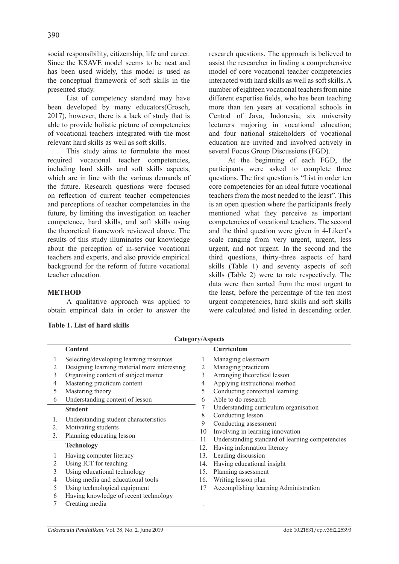390

social responsibility, citizenship, life and career. Since the KSAVE model seems to be neat and has been used widely, this model is used as the conceptual framework of soft skills in the presented study.

List of competency standard may have been developed by many educators(Grosch, 2017), however, there is a lack of study that is able to provide holistic picture of competencies of vocational teachers integrated with the most relevant hard skills as well as soft skills.

This study aims to formulate the most required vocational teacher competencies, including hard skills and soft skills aspects, which are in line with the various demands of the future. Research questions were focused on reflection of current teacher competencies and perceptions of teacher competencies in the future, by limiting the investigation on teacher competence, hard skills, and soft skills using the theoretical framework reviewed above. The results of this study illuminates our knowledge about the perception of in-service vocational teachers and experts, and also provide empirical background for the reform of future vocational teacher education.

### **METHOD**

A qualitative approach was applied to obtain empirical data in order to answer the

research questions. The approach is believed to assist the researcher in finding a comprehensive model of core vocational teacher competencies interacted with hard skills as well as soft skills. A number of eighteen vocational teachers from nine different expertise fields, who has been teaching more than ten years at vocational schools in Central of Java, Indonesia; six university lecturers majoring in vocational education; and four national stakeholders of vocational education are invited and involved actively in several Focus Group Discussions (FGD).

At the beginning of each FGD, the participants were asked to complete three questions. The first question is "List in order ten core competencies for an ideal future vocational teachers from the most needed to the least". This is an open question where the participants freely mentioned what they perceive as important competencies of vocational teachers. The second and the third question were given in 4-Likert's scale ranging from very urgent, urgent, less urgent, and not urgent. In the second and the third questions, thirty-three aspects of hard skills (Table 1) and seventy aspects of soft skills (Table 2) were to rate respectively. The data were then sorted from the most urgent to the least, before the percentage of the ten most urgent competencies, hard skills and soft skills were calculated and listed in descending order.

|    | Category/Aspects                                                                                |     |                                                 |  |  |  |
|----|-------------------------------------------------------------------------------------------------|-----|-------------------------------------------------|--|--|--|
|    | Content                                                                                         |     | Curriculum                                      |  |  |  |
| 1  | Selecting/developing learning resources                                                         | L   | Managing classroom                              |  |  |  |
| 2  | Designing learning material more interesting                                                    | 2   | Managing practicum                              |  |  |  |
| 3  | Organising content of subject matter                                                            | 3   | Arranging theoretical lesson                    |  |  |  |
| 4  | Mastering practicum content                                                                     | 4   | Applying instructional method                   |  |  |  |
| 5  | Mastering theory                                                                                | 5   | Conducting contextual learning                  |  |  |  |
| 6  | Understanding content of lesson                                                                 | 6   | Able to do research                             |  |  |  |
|    | <b>Student</b>                                                                                  |     | Understanding curriculum organisation           |  |  |  |
| 1. | Understanding student characteristics<br>Motivating students<br>10<br>Planning educating lesson |     | Conducting lesson                               |  |  |  |
| 2. |                                                                                                 |     | Conducting assessment                           |  |  |  |
| 3. |                                                                                                 |     | Involving in learning innovation                |  |  |  |
|    |                                                                                                 | 11  | Understanding standard of learning competencies |  |  |  |
|    | <b>Technology</b>                                                                               | 12. | Having information literacy                     |  |  |  |
|    | Having computer literacy                                                                        | 13. | Leading discussion                              |  |  |  |
| 2  | Using ICT for teaching                                                                          | 14. | Having educational insight                      |  |  |  |
| 3  | Using educational technology                                                                    | 15. | Planning assessment                             |  |  |  |
| 4  | Using media and educational tools                                                               | 16. | Writing lesson plan                             |  |  |  |
| 5  | Using technological equipment                                                                   | 17  | Accomplishing learning Administration           |  |  |  |
| 6  | Having knowledge of recent technology                                                           |     |                                                 |  |  |  |
|    | Creating media                                                                                  |     |                                                 |  |  |  |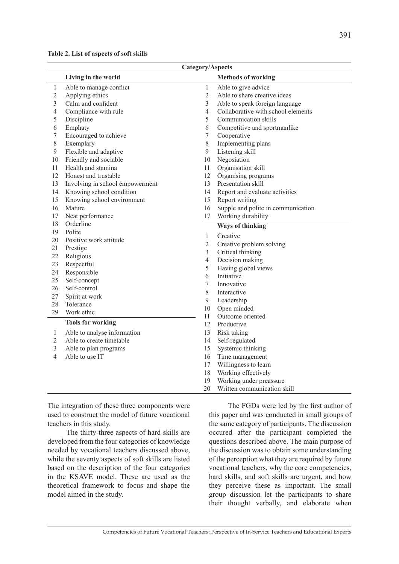|                | Category/Aspects                |                |                                    |  |
|----------------|---------------------------------|----------------|------------------------------------|--|
|                | Living in the world             |                | <b>Methods of working</b>          |  |
| $\mathbf{1}$   | Able to manage conflict         | 1              | Able to give advice                |  |
| $\overline{c}$ | Applying ethics                 | $\overline{2}$ | Able to share creative ideas       |  |
| 3              | Calm and confident              | 3              | Able to speak foreign language     |  |
| $\overline{4}$ | Compliance with rule            | $\overline{4}$ | Collaborative with school elements |  |
| 5              | Discipline                      | 5              | Communication skills               |  |
| 6              | Emphaty                         | 6              | Competitive and sportmanlike       |  |
| 7              | Encouraged to achieve           | $\tau$         | Cooperative                        |  |
| 8              | Exemplary                       | $\,$ 8 $\,$    | Implementing plans                 |  |
| 9              | Flexible and adaptive           | $\mathfrak{g}$ | Listening skill                    |  |
| 10             | Friendly and sociable           | 10             | Negosiation                        |  |
| 11             | Health and stamina              | 11             | Organisation skill                 |  |
| 12             | Honest and trustable            | 12             | Organising programs                |  |
| 13             | Involving in school empowerment | 13             | Presentation skill                 |  |
| 14             | Knowing school condition        | 14             | Report and evaluate activities     |  |
| 15             | Knowing school environment      | 15             | Report writing                     |  |
| 16             | Mature                          | 16             | Supple and polite in communication |  |
| 17             | Neat performance                | 17             | Working durability                 |  |
| 18             | Orderline                       |                | <b>Ways of thinking</b>            |  |
| 19             | Polite                          |                | Creative                           |  |
| 20             | Positive work attitude          | 1              |                                    |  |
| 21             | Prestige                        | $\sqrt{2}$     | Creative problem solving           |  |
| 22             | Religious                       | $\mathfrak{Z}$ | Critical thinking                  |  |
| 23             | Respectful                      | $\overline{4}$ | Decision making                    |  |
| 24             | Responsible                     | 5              | Having global views                |  |
| 25             | Self-concept                    | 6              | Initiative                         |  |
| 26             | Self-control                    | 7              | Innovative                         |  |
| 27             | Spirit at work                  | $8\,$          | Interactive                        |  |
| 28             | Tolerance                       | $\mathfrak{g}$ | Leadership                         |  |
| 29             | Work ethic                      | 10             | Open minded                        |  |
|                | <b>Tools for working</b>        | 11             | Outcome oriented                   |  |
|                |                                 | 12             | Productive                         |  |
| $\mathbf{1}$   | Able to analyse information     | 13             | Risk taking                        |  |
| $\mathbf{2}$   | Able to create timetable        | 14             | Self-regulated                     |  |
| 3              | Able to plan programs           | 15             | Systemic thinking                  |  |
| 4              | Able to use IT                  | 16             | Time management                    |  |
|                |                                 | 17             | Willingness to learn               |  |
|                |                                 | 18             | Working effectively                |  |
|                |                                 | 19             | Working under preassure            |  |
|                |                                 | 20             | Written communication skill        |  |

The integration of these three components were used to construct the model of future vocational teachers in this study.

The thirty-three aspects of hard skills are developed from the four categories of knowledge needed by vocational teachers discussed above, while the seventy aspects of soft skills are listed based on the description of the four categories in the KSAVE model. These are used as the theoretical framework to focus and shape the model aimed in the study.

The FGDs were led by the first author of this paper and was conducted in small groups of the same category of participants. The discussion occured after the participant completed the questions described above. The main purpose of the discussion was to obtain some understanding of the perception what they are required by future vocational teachers, why the core competencies, hard skills, and soft skills are urgent, and how they perceive these as important. The small group discussion let the participants to share their thought verbally, and elaborate when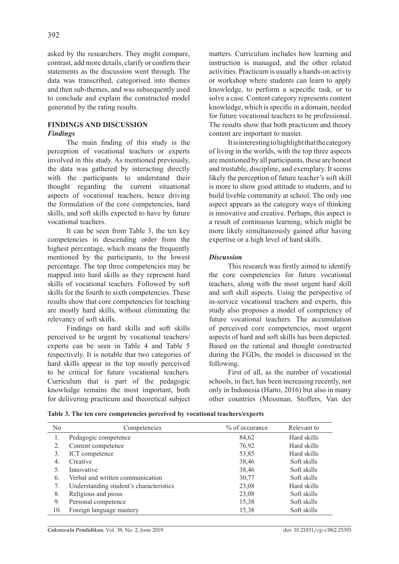asked by the researchers. They might compare, contrast, add more details, clarify or confirm their statements as the discussion went through. The data was transcribed, categorised into themes and then sub-themes, and was subsequently used to conclude and explain the constructed model generated by the rating results.

# **FINDINGS AND DISCUSSION** *Findings*

The main finding of this study is the perception of vocational teachers or experts involved in this study. As mentioned previously, the data was gathered by interacting directly with the participants to understand their thought regarding the current situational aspects of vocational teachers, hence driving the formulation of the core competencies, hard skills, and soft skills expected to have by future vocational teachers.

It can be seen from Table 3, the ten key competencies in descending order from the highest percentage, which means the frequently mentioned by the participants, to the lowest percentage. The top three competencies may be mapped into hard skills as they represent hard skills of vocational teachers. Followed by soft skills for the fourth to sixth competencies. These results show that core competencies for teaching are mostly hard skills, without eliminating the relevancy of soft skills.

Findings on hard skills and soft skills perceived to be urgent by vocational teachers/ experts can be seen in Table 4 and Table 5 respectively. It is notable that two categories of hard skills appear in the top mostly perceived to be critical for future vocational teachers. Curriculum that is part of the pedagogic knowledge remains the most important, both for delivering practicum and theoretical subject matters. Curriculum includes how learning and instruction is managed, and the other related activities. Practicum is usually a hands-on activiy or workshop where students can learn to apply knowledge, to perform a scpecific task, or to solve a case. Content category represents content knowledge, which is specific in a domain, needed for future vocational teachers to be professional. The results show that both practicum and theory content are important to master.

It is interesting to highlight that the category of living in the worlds, with the top three aspects are mentioned by all participants, these are honest and trustable, discipline, and exemplary. It seems likely the perception of future teacher's soft skill is more to show good attitude to students, and to build liveble community at school. The only one aspect appears as the category ways of thinking is innovative and creative. Perhaps, this aspect is a result of continuous learning, which might be more likely simultaneously gained after having expertise or a high level of hard skills.

# *Discussion*

This research was firstly aimed to identify the core competencies for future vocational teachers, along with the most urgent hard skill and soft skill aspects. Using the perspective of in-service vocational teachers and experts, this study also proposes a model of competency of future vocational teachers. The accumulation of perceived core competencies, most urgent aspects of hard and soft skills has been depicted. Based on the rational and thought constructed during the FGDs, the model is discussed in the following.

First of all, as the number of vocational schools, in fact, has been increasing recently, not only in Indonesia (Harto, 2016) but also in many other countries (Messman, Stoffers, Van der

| No. | Competencies                            | % of occurance | Relevant to |
|-----|-----------------------------------------|----------------|-------------|
| 1.  | Pedagogic competence                    | 84,62          | Hard skills |
| 2.  | Content competence                      | 76,92          | Hard skills |
| 3.  | ICT competence                          | 53,85          | Hard skills |
| 4.  | Creative                                | 38,46          | Soft skills |
| 5.  | Innovative                              | 38,46          | Soft skills |
| 6.  | Verbal and written communication        | 30,77          | Soft skills |
| 7.  | Understanding student's characteristics | 23,08          | Hard skills |
| 8.  | Religious and pious                     | 23,08          | Soft skills |
| 9.  | Personal competence                     | 15,38          | Soft skills |
| 10. | Foreign language mastery                | 15,38          | Soft skills |

**Table 3. The ten core competencies perceived by vocational teachers/experts**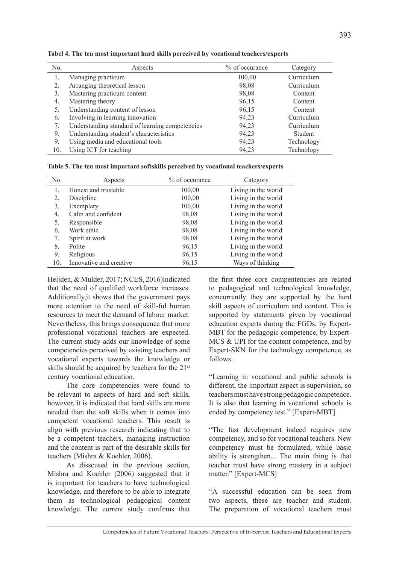| N <sub>0</sub> | Aspects                                         | % of occurance | Category   |
|----------------|-------------------------------------------------|----------------|------------|
|                | Managing practicum                              | 100,00         | Curriculum |
| 2.             | Arranging theoretical lesson                    | 98,08          | Curriculum |
| 3.             | Mastering practicum content                     | 98,08          | Content    |
| 4.             | Mastering theory                                | 96,15          | Content    |
| 5.             | Understanding content of lesson                 | 96,15          | Content    |
| 6.             | Involving in learning innovation                | 94,23          | Curriculum |
| 7.             | Understanding standard of learning competencies | 94,23          | Curriculum |
| 9.             | Understanding student's characteristics         | 94,23          | Student    |
| 9.             | Using media and educational tools               | 94,23          | Technology |
| 10.            | Using ICT for teaching                          | 94,23          | Technology |

**Tabel 4. The ten most important hard skills perceived by vocational teachers/experts**

|  |  |  | Table 5. The ten most important softskills perceived by vocational teachers/experts |
|--|--|--|-------------------------------------------------------------------------------------|
|  |  |  |                                                                                     |

| N <sub>0</sub>   | Aspects                 | % of occurance | Category            |
|------------------|-------------------------|----------------|---------------------|
| 1.               | Honest and trustable    | 100,00         | Living in the world |
| $\overline{2}$ . | Discipline              | 100,00         | Living in the world |
| 3.               | Exemplary               | 100,00         | Living in the world |
| $\overline{4}$ . | Calm and confident      | 98,08          | Living in the world |
| 5.               | Responsible             | 98,08          | Living in the world |
| 6.               | Work ethic              | 98,08          | Living in the world |
| 7.               | Spirit at work          | 98,08          | Living in the world |
| 8.               | Polite                  | 96,15          | Living in the world |
| 9.               | Religious               | 96,15          | Living in the world |
| 10.              | Innovative and creative | 96,15          | Ways of thinking    |

Heijden, & Mulder, 2017; NCES, 2016)indicated that the need of qualified workforce increases. Additionally,it shows that the government pays more attention to the need of skill-ful human resources to meet the demand of labour market. Nevertheless, this brings consequence that more professional vocational teachers are expected. The current study adds our knowledge of some competencies perceived by existing teachers and vocational experts towards the knowledge or skills should be acquired by teachers for the 21st century vocational education.

The core competencies were found to be relevant to aspects of hard and soft skills, however, it is indicated that hard skills are more needed than the soft skills when it comes into competent vocational teachers. This result is align with previous research indicating that to be a competent teachers, managing instruction and the content is part of the desirable skills for teachers (Mishra & Koehler, 2006).

As disscused in the previous section, Mishra and Koehler (2006) suggested that it is important for teachers to have technological knowledge, and therefore to be able to integrate them as technological pedagogical content knowledge. The current study confirms that the first three core compentencies are related to pedagogical and technological knowledge, concurrently they are supported by the hard skill aspects of curriculum and content. This is supported by statements given by vocational education experts during the FGDs, by Expert-MBT for the pedagogic competence, by Expert-MCS & UPI for the content competence, and by Expert-SKN for the technology competence, as follows.

"Learning in vocational and public schools is different, the important aspect is supervision, so teachers must have strong pedagogic competence. It is also that learning in vocational schools is ended by competency test." [Expert-MBT]

"The fast development indeed requires new competency, and so for vocational teachers. New competency must be formulated, while basic ability is strengthen... The main thing is that teacher must have strong mastery in a subject matter." [Expert-MCS]

"A successful education can be seen from two aspects, these are teacher and student. The preparation of vocational teachers must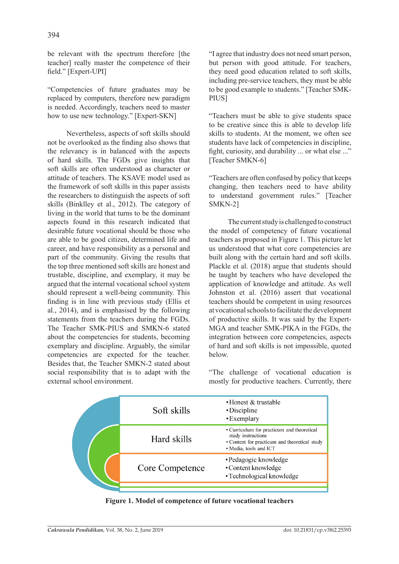be relevant with the spectrum therefore [the teacher] really master the competence of their field." [Expert-UPI]

"Competencies of future graduates may be replaced by computers, therefore new paradigm is needed. Accordingly, teachers need to master how to use new technology." [Expert-SKN]

Nevertheless, aspects of soft skills should not be overlooked as the finding also shows that the relevancy is in balanced with the aspects of hard skills. The FGDs give insights that soft skills are often understood as character or attitude of teachers. The KSAVE model used as the framework of soft skills in this paper assists the researchers to distinguish the aspects of soft skills (Binklley et al., 2012). The category of living in the world that turns to be the dominant aspects found in this research indicated that desirable future vocational should be those who are able to be good citizen, determined life and career, and have responsibility as a personal and part of the community. Giving the results that the top three mentioned soft skills are honest and trustable, discipline, and exemplary, it may be argued that the internal vocational school system should represent a well-being community. This finding is in line with previous study (Ellis et al., 2014), and is emphasised by the following statements from the teachers during the FGDs. The Teacher SMK-PIUS and SMKN-6 stated about the competencies for students, becoming exemplary and discipline. Arguably, the similar competencies are expected for the teacher. Besides that, the Teacher SMKN-2 stated about social responsibility that is to adapt with the external school environment.

"I agree that industry does not need smart person, but person with good attitude. For teachers, they need good education related to soft skills, including pre-service teachers, they must be able to be good example to students." [Teacher SMK-PIUS<sub>1</sub>

"Teachers must be able to give students space to be creative since this is able to develop life skills to students. At the moment, we often see students have lack of competencies in discipline, fight, curiosity, and durability ... or what else ..." [Teacher SMKN-6]

"Teachers are often confused by policy that keeps changing, then teachers need to have ability to understand government rules." [Teacher SMKN-2]

The current study is challenged to construct the model of competency of future vocational teachers as proposed in Figure 1. This picture let us understood that what core competencies are built along with the certain hard and soft skills. Plackle et al. (2018) argue that students should be taught by teachers who have developed the application of knowledge and attitude. As well Johnston et al. (2016) assert that vocational teachers should be competent in using resources at vocational schools to facilitate the development of productive skills. It was said by the Expert-MGA and teacher SMK-PIKA in the FGDs, the integration between core competencies, aspects of hard and soft skills is not impossible, quoted below.

"The challenge of vocational education is mostly for productive teachers. Currently, there



**Figure 1. Model of competence of future vocational teachers**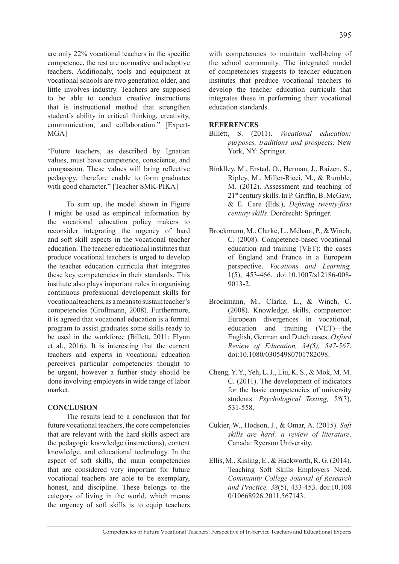are only 22% vocational teachers in the specific competence, the rest are normative and adaptive teachers. Additionaly, tools and equipment at vocational schools are two generation older, and little involves industry. Teachers are supposed to be able to conduct creative instructions that is instructional method that strengthen student's ability in critical thinking, creativity, communication, and collaboration." [Expert-MGA]

"Future teachers, as described by Ignatian values, must have competence, conscience, and compassion. These values will bring reflective pedagogy, therefore enable to form graduates with good character." [Teacher SMK-PIKA]

To sum up, the model shown in Figure 1 might be used as empirical information by the vocational education policy makers to reconsider integrating the urgency of hard and soft skill aspects in the vocational teacher education. The teacher educational institutes that produce vocational teachers is urged to develop the teacher education curricula that integrates these key competencies in their standards. This institute also plays important roles in organising continuous professional developemnt skills for vocational teachers, as a means to sustain teacher's competencies (Grollmann, 2008). Furthermore, it is agreed that vocational education is a formal program to assist graduates some skills ready to be used in the workforce (Billett, 2011; Flynn et al., 2016). It is interesting that the current teachers and experts in vocational education perceives particular competencies thought to be urgent, however a further study should be done involving employers in wide range of labor market.

# **CONCLUSION**

The results lead to a conclusion that for future vocational teachers, the core competencies that are relevant with the hard skills aspect are the pedagogic knowledge (instructions), content knowledge, and educational technology. In the aspect of soft skills, the main competencies that are considered very important for future vocational teachers are able to be exemplary, honest, and discipline. These belongs to the category of living in the world, which means the urgency of soft skills is to equip teachers with competencies to maintain well-being of the school community. The integrated model of competencies suggests to teacher education institutes that produce vocational teachers to develop the teacher education curricula that integrates these in performing their vocational education standards.

#### **REFERENCES**

- Billett, S. (2011). *Vocational education: purposes, traditions and prospects*. New York, NY: Springer.
- Binklley, M., Erstad, O., Herman, J., Raizen, S., Ripley, M., Miller-Ricci, M., & Rumble, M. (2012). Assessment and teaching of 21st century skills. In P. Griffin, B. McGaw, & E. Care (Eds.), *Defining twenty-first century skills*. Dordrecht: Springer.
- Brockmann, M., Clarke, L., Méhaut, P., & Winch, C. (2008). Competence-based vocational education and training (VET): the cases of England and France in a European perspective. *Vocations and Learning,*  1(5), 453-466. doi:10.1007/s12186-008- 9013-2.
- Brockmann, M., Clarke, L., & Winch, C. (2008). Knowledge, skills, competence: European divergences in vocational, education and training (VET)—the English, German and Dutch cases. *Oxford Review of Education, 34(5), 547-567*. doi:10.1080/03054980701782098.
- Cheng, Y. Y., Yeh, L. J., Liu, K. S., & Mok, M. M. C. (2011). The development of indicators for the basic competencies of university students. *Psychological Testing, 58*(3), 531-558.
- Cukier, W., Hodson, J., & Omar, A. (2015). *Soft skills are hard: a review of literature*. Canada: Ryerson University.
- Ellis, M., Kisling, E., & Hackworth, R. G. (2014). Teaching Soft Skills Employers Need. *Community College Journal of Research and Practice, 38*(5), 433-453. doi:10.108 0/10668926.2011.567143.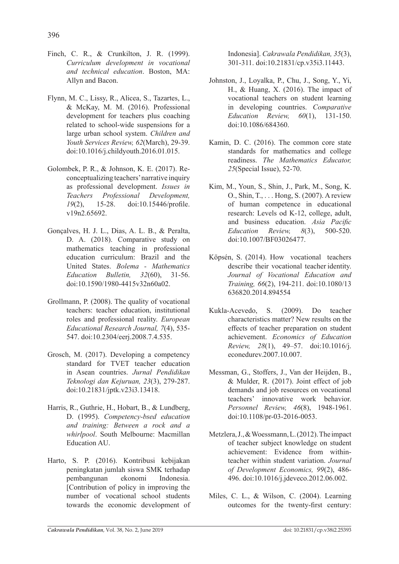- Finch, C. R., & Crunkilton, J. R. (1999). *Curriculum development in vocational and technical education*. Boston, MA: Allyn and Bacon.
- Flynn, M. C., Lissy, R., Alicea, S., Tazartes, L., & McKay, M. M. (2016). Professional development for teachers plus coaching related to school-wide suspensions for a large urban school system. *Children and Youth Services Review, 62*(March), 29-39. doi:10.1016/j.childyouth.2016.01.015.
- Golombek, P. R., & Johnson, K. E. (2017). Reconceptualizing teachers' narrative inquiry as professional development. *Issues in Teachers Professional Development, 19*(2), 15-28. doi:10.15446/profile. v19n2.65692.
- Gonçalves, H. J. L., Dias, A. L. B., & Peralta, D. A. (2018). Comparative study on mathematics teaching in professional education curriculum: Brazil and the United States. *Bolema - Mathematics Education Bulletin, 32*(60), 31-56. doi:10.1590/1980-4415v32n60a02.
- Grollmann, P. (2008). The quality of vocational teachers: teacher education, institutional roles and professional reality. *European Educational Research Journal, 7*(4), 535- 547. doi:10.2304/eerj.2008.7.4.535.
- Grosch, M. (2017). Developing a competency standard for TVET teacher education in Asean countries. *Jurnal Pendidikan Teknologi dan Kejuruan, 23*(3), 279-287. doi:10.21831/jptk.v23i3.13418.
- Harris, R., Guthrie, H., Hobart, B., & Lundberg, D. (1995). *Competency-bsed education and training: Between a rock and a whirlpool*. South Melbourne: Macmillan Education AU.
- Harto, S. P. (2016). Kontribusi kebijakan peningkatan jumlah siswa SMK terhadap pembangunan ekonomi Indonesia. [Contribution of policy in improving the number of vocational school students towards the economic development of

Indonesia]. *Cakrawala Pendidikan, 35*(3), 301-311. doi:10.21831/cp.v35i3.11443.

- Johnston, J., Loyalka, P., Chu, J., Song, Y., Yi, H., & Huang, X. (2016). The impact of vocational teachers on student learning in developing countries. *Comparative Education Review, 60*(1), 131-150. doi:10.1086/684360.
- Kamin, D. C. (2016). The common core state standards for mathematics and college readiness. *The Mathematics Educator, 25*(Special Issue), 52-70.
- Kim, M., Youn, S., Shin, J., Park, M., Song, K. O., Shin, T., . . . Hong, S. (2007). A review of human competence in educational research: Levels od K-12, college, adult, and business education. *Asia Pacific Education Review, 8*(3), 500-520. doi:10.1007/BF03026477.
- Köpsén, S. (2014). How vocational teachers describe their vocational teacher identity. *Journal of Vocational Education and Training, 66*(2), 194-211. doi:10.1080/13 636820.2014.894554
- Kukla-Acevedo, S. (2009). Do teacher characteristics matter? New results on the effects of teacher preparation on student achievement. *Economics of Education Review, 28*(1), 49–57. doi:10.1016/j. econedurev.2007.10.007.
- Messman, G., Stoffers, J., Van der Heijden, B., & Mulder, R. (2017). Joint effect of job demands and job resources on vocational teachers' innovative work behavior. *Personnel Review, 46*(8), 1948-1961. doi:10.1108/pr-03-2016-0053.
- Metzlera, J., & Woessmann, L. (2012). The impact of teacher subject knowledge on student achievement: Evidence from withinteacher within student variation. *Journal of Development Economics, 99*(2), 486- 496. doi:10.1016/j.jdeveco.2012.06.002.
- Miles, C. L., & Wilson, C. (2004). Learning outcomes for the twenty-first century: